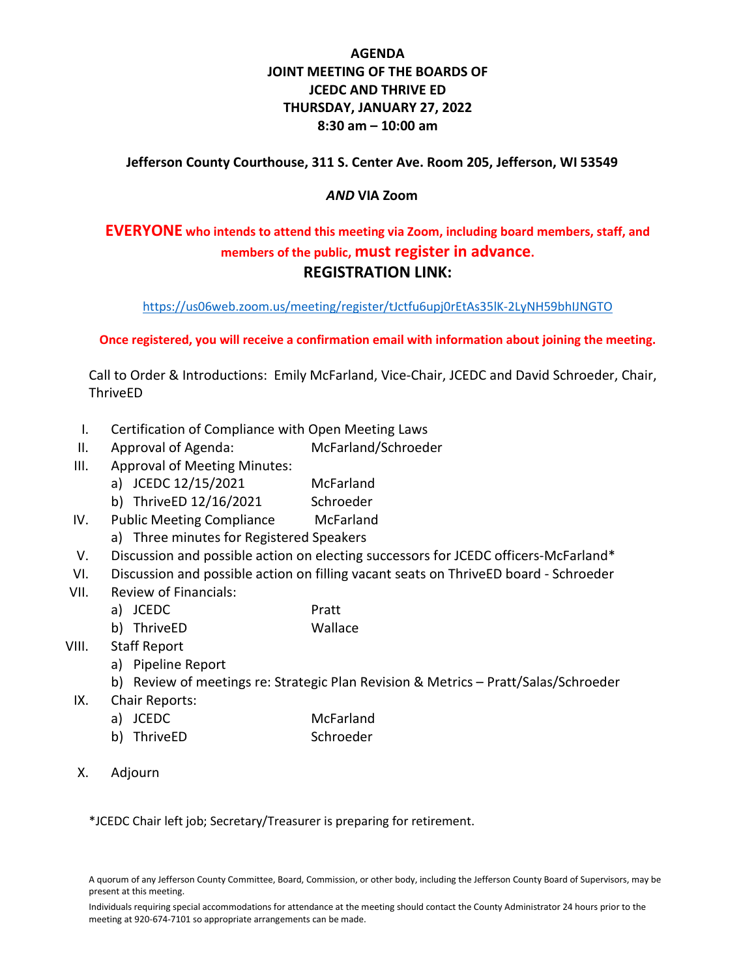### **AGENDA JOINT MEETING OF THE BOARDS OF JCEDC AND THRIVE ED THURSDAY, JANUARY 27, 2022 8:30 am – 10:00 am**

#### **Jefferson County Courthouse, 311 S. Center Ave. Room 205, Jefferson, WI 53549**

#### *AND* **VIA Zoom**

## **EVERYONE who intends to attend this meeting via Zoom, including board members, staff, and members of the public, must register in advance. REGISTRATION LINK:**

<https://us06web.zoom.us/meeting/register/tJctfu6upj0rEtAs35lK-2LyNH59bhIJNGTO>

**Once registered, you will receive a confirmation email with information about joining the meeting.**

Call to Order & Introductions: Emily McFarland, Vice-Chair, JCEDC and David Schroeder, Chair, ThriveED

- I. Certification of Compliance with Open Meeting Laws
- II. Approval of Agenda: McFarland/Schroeder
- III. Approval of Meeting Minutes:
	- a) JCEDC 12/15/2021 McFarland
	- b) ThriveED 12/16/2021 Schroeder
- IV. Public Meeting Compliance McFarland
	- a) Three minutes for Registered Speakers
- V. Discussion and possible action on electing successors for JCEDC officers-McFarland\*
- VI. Discussion and possible action on filling vacant seats on ThriveED board Schroeder
- VII. Review of Financials:
	- a) JCEDC Pratt
	- b) ThriveED Wallace
- VIII. Staff Report
	- a) Pipeline Report
	- b) Review of meetings re: Strategic Plan Revision & Metrics Pratt/Salas/Schroeder
- IX. Chair Reports:
	- a) JCEDC McFarland
		- b) ThriveED Schroeder
- X. Adjourn

\*JCEDC Chair left job; Secretary/Treasurer is preparing for retirement.

A quorum of any Jefferson County Committee, Board, Commission, or other body, including the Jefferson County Board of Supervisors, may be present at this meeting.

Individuals requiring special accommodations for attendance at the meeting should contact the County Administrator 24 hours prior to the meeting at 920-674-7101 so appropriate arrangements can be made.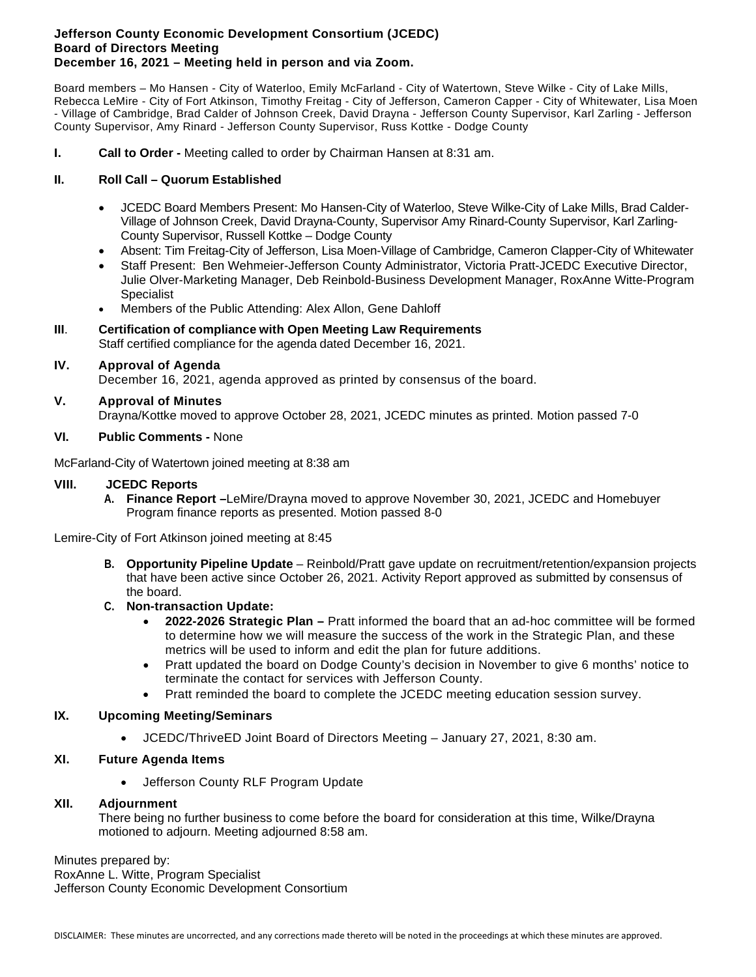#### **Jefferson County Economic Development Consortium (JCEDC) Board of Directors Meeting December 16, 2021 – Meeting held in person and via Zoom.**

Board members – Mo Hansen - City of Waterloo, Emily McFarland - City of Watertown, Steve Wilke - City of Lake Mills, Rebecca LeMire - City of Fort Atkinson, Timothy Freitag - City of Jefferson, Cameron Capper - City of Whitewater, Lisa Moen - Village of Cambridge, Brad Calder of Johnson Creek, David Drayna - Jefferson County Supervisor, Karl Zarling - Jefferson County Supervisor, Amy Rinard - Jefferson County Supervisor, Russ Kottke - Dodge County

**I. Call to Order -** Meeting called to order by Chairman Hansen at 8:31 am.

#### **II. Roll Call – Quorum Established**

- JCEDC Board Members Present: Mo Hansen-City of Waterloo, Steve Wilke-City of Lake Mills, Brad Calder-Village of Johnson Creek, David Drayna-County, Supervisor Amy Rinard-County Supervisor, Karl Zarling-County Supervisor, Russell Kottke – Dodge County
- Absent: Tim Freitag-City of Jefferson, Lisa Moen-Village of Cambridge, Cameron Clapper-City of Whitewater
- Staff Present: Ben Wehmeier-Jefferson County Administrator, Victoria Pratt-JCEDC Executive Director, Julie Olver-Marketing Manager, Deb Reinbold-Business Development Manager, RoxAnne Witte-Program **Specialist**
- Members of the Public Attending: Alex Allon, Gene Dahloff

#### **III**. **Certification of compliance with Open Meeting Law Requirements**

Staff certified compliance for the agenda dated December 16, 2021.

#### **IV. Approval of Agenda**

December 16, 2021, agenda approved as printed by consensus of the board.

#### **V. Approval of Minutes**

Drayna/Kottke moved to approve October 28, 2021, JCEDC minutes as printed. Motion passed 7-0

#### **VI. Public Comments -** None

McFarland-City of Watertown joined meeting at 8:38 am

#### **VIII. JCEDC Reports**

**A. Finance Report –**LeMire/Drayna moved to approve November 30, 2021, JCEDC and Homebuyer Program finance reports as presented. Motion passed 8-0

Lemire-City of Fort Atkinson joined meeting at 8:45

**B. Opportunity Pipeline Update** – Reinbold/Pratt gave update on recruitment/retention/expansion projects that have been active since October 26, 2021. Activity Report approved as submitted by consensus of the board.

#### **C. Non-transaction Update:**

- **2022-2026 Strategic Plan –** Pratt informed the board that an ad-hoc committee will be formed to determine how we will measure the success of the work in the Strategic Plan, and these metrics will be used to inform and edit the plan for future additions.
- Pratt updated the board on Dodge County's decision in November to give 6 months' notice to terminate the contact for services with Jefferson County.
- Pratt reminded the board to complete the JCEDC meeting education session survey.

#### **IX. Upcoming Meeting/Seminars**

• JCEDC/ThriveED Joint Board of Directors Meeting – January 27, 2021, 8:30 am.

#### **XI. Future Agenda Items**

• Jefferson County RLF Program Update

#### **XII. Adjournment**

There being no further business to come before the board for consideration at this time, Wilke/Drayna motioned to adjourn. Meeting adjourned 8:58 am.

Minutes prepared by:

RoxAnne L. Witte, Program Specialist Jefferson County Economic Development Consortium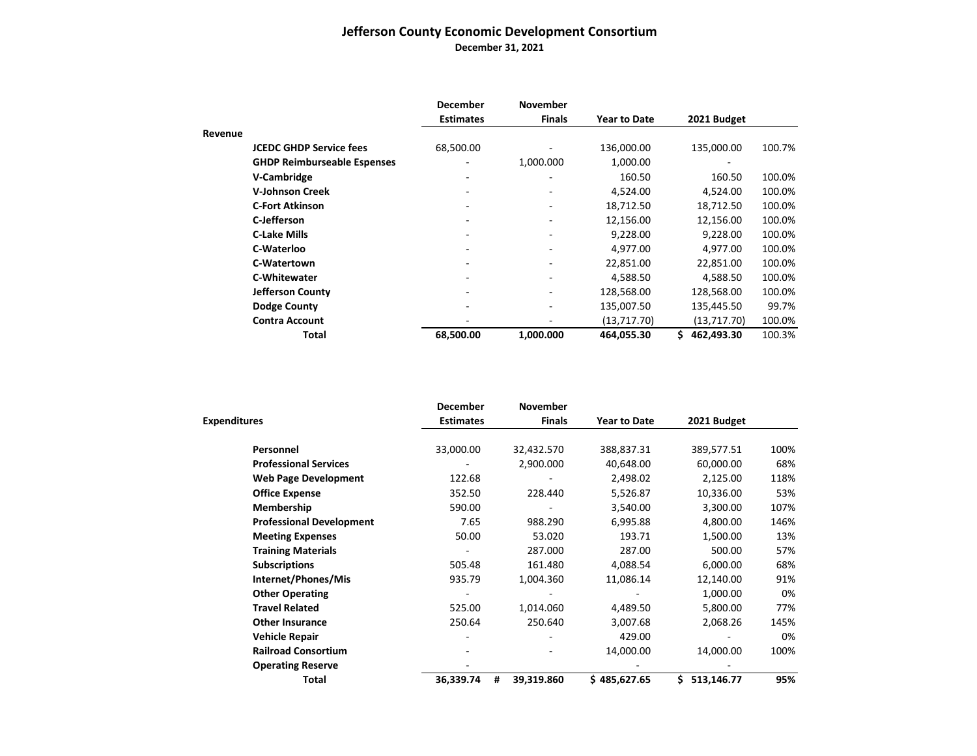## **Jefferson County Economic Development Consortium December 31, 2021**

|         |                                    | <b>December</b>  | <b>November</b>          |                     |                  |        |
|---------|------------------------------------|------------------|--------------------------|---------------------|------------------|--------|
|         |                                    | <b>Estimates</b> | <b>Finals</b>            | <b>Year to Date</b> | 2021 Budget      |        |
| Revenue |                                    |                  |                          |                     |                  |        |
|         | <b>JCEDC GHDP Service fees</b>     | 68,500.00        |                          | 136,000.00          | 135,000.00       | 100.7% |
|         | <b>GHDP Reimburseable Espenses</b> |                  | 1,000.000                | 1,000.00            |                  |        |
|         | V-Cambridge                        |                  |                          | 160.50              | 160.50           | 100.0% |
|         | <b>V-Johnson Creek</b>             |                  |                          | 4,524.00            | 4,524.00         | 100.0% |
|         | <b>C-Fort Atkinson</b>             |                  | -                        | 18,712.50           | 18,712.50        | 100.0% |
|         | C-Jefferson                        |                  |                          | 12,156.00           | 12,156.00        | 100.0% |
|         | <b>C-Lake Mills</b>                |                  | $\overline{\phantom{0}}$ | 9,228.00            | 9,228.00         | 100.0% |
|         | C-Waterloo                         |                  |                          | 4,977.00            | 4,977.00         | 100.0% |
|         | C-Watertown                        |                  |                          | 22,851.00           | 22,851.00        | 100.0% |
|         | <b>C-Whitewater</b>                |                  |                          | 4,588.50            | 4,588.50         | 100.0% |
|         | <b>Jefferson County</b>            |                  |                          | 128,568.00          | 128,568.00       | 100.0% |
|         | <b>Dodge County</b>                |                  | $\overline{\phantom{0}}$ | 135,007.50          | 135,445.50       | 99.7%  |
|         | <b>Contra Account</b>              |                  |                          | (13, 717.70)        | (13, 717.70)     | 100.0% |
|         | Total                              | 68,500.00        | 1,000.000                | 464,055.30          | Ś.<br>462,493.30 | 100.3% |

|                                 | <b>December</b>  | <b>November</b> |                     |             |      |
|---------------------------------|------------------|-----------------|---------------------|-------------|------|
| <b>Expenditures</b>             | <b>Estimates</b> | <b>Finals</b>   | <b>Year to Date</b> | 2021 Budget |      |
| Personnel                       | 33,000.00        | 32,432.570      | 388,837.31          | 389,577.51  | 100% |
| <b>Professional Services</b>    |                  | 2,900.000       | 40,648.00           | 60,000.00   | 68%  |
| <b>Web Page Development</b>     | 122.68           |                 | 2,498.02            | 2,125.00    | 118% |
| <b>Office Expense</b>           | 352.50           | 228.440         | 5,526.87            | 10,336.00   | 53%  |
| Membership                      | 590.00           |                 | 3,540.00            | 3,300.00    | 107% |
| <b>Professional Development</b> | 7.65             | 988.290         | 6,995.88            | 4,800.00    | 146% |
| <b>Meeting Expenses</b>         | 50.00            | 53.020          | 193.71              | 1,500.00    | 13%  |
| <b>Training Materials</b>       |                  | 287.000         | 287.00              | 500.00      | 57%  |
| <b>Subscriptions</b>            | 505.48           | 161.480         | 4,088.54            | 6,000.00    | 68%  |
| Internet/Phones/Mis             | 935.79           | 1,004.360       | 11,086.14           | 12,140.00   | 91%  |
| <b>Other Operating</b>          |                  |                 |                     | 1,000.00    | 0%   |
| <b>Travel Related</b>           | 525.00           | 1,014.060       | 4,489.50            | 5,800.00    | 77%  |
| <b>Other Insurance</b>          | 250.64           | 250.640         | 3,007.68            | 2,068.26    | 145% |
| <b>Vehicle Repair</b>           |                  |                 | 429.00              |             | 0%   |
| <b>Railroad Consortium</b>      |                  |                 | 14,000.00           | 14,000.00   | 100% |
| <b>Operating Reserve</b>        |                  |                 |                     |             |      |
| Total                           | 36,339.74<br>#   | 39,319.860      | \$485,627.65        | 513,146.77  | 95%  |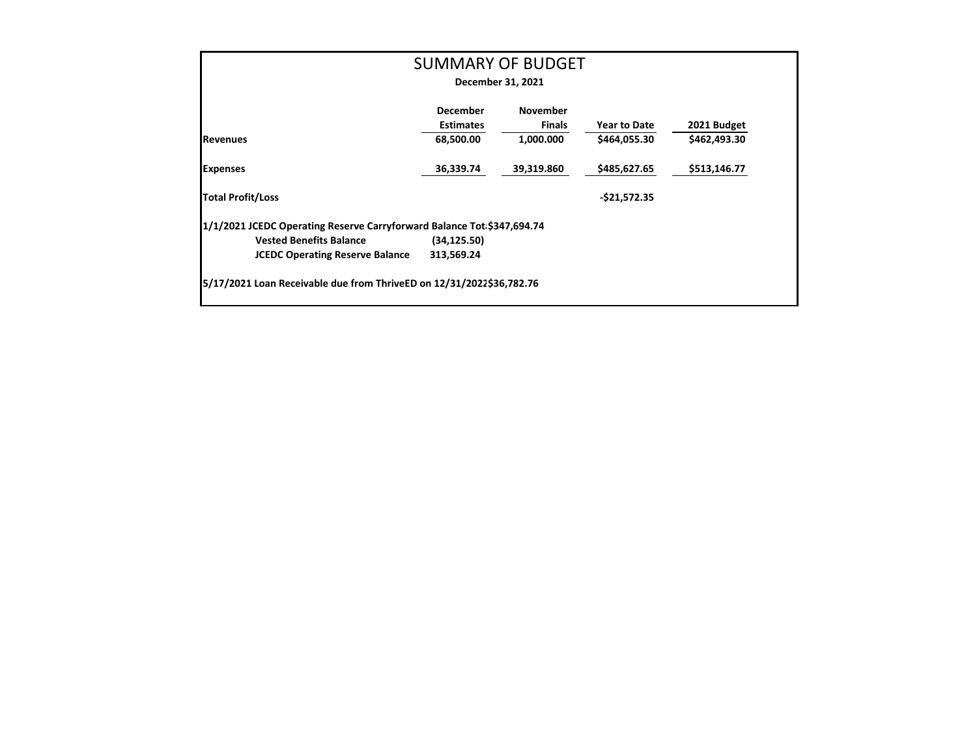|                                                                        |                  | <b>SUMMARY OF BUDGET</b> |                     |              |
|------------------------------------------------------------------------|------------------|--------------------------|---------------------|--------------|
|                                                                        |                  | December 31, 2021        |                     |              |
|                                                                        | <b>December</b>  | <b>November</b>          |                     |              |
|                                                                        | <b>Estimates</b> | <b>Finals</b>            | <b>Year to Date</b> | 2021 Budget  |
| <b>Revenues</b>                                                        | 68,500.00        | 1,000.000                | \$464,055.30        | \$462,493.30 |
| <b>Expenses</b>                                                        | 36,339.74        | 39,319.860               | \$485,627.65        | \$513,146.77 |
| <b>Total Profit/Loss</b>                                               |                  |                          | $-$21,572.35$       |              |
| 1/1/2021 JCEDC Operating Reserve Carryforward Balance Tot \$347,694.74 |                  |                          |                     |              |
| <b>Vested Benefits Balance</b>                                         | (34, 125.50)     |                          |                     |              |
| <b>JCEDC Operating Reserve Balance</b>                                 | 313,569.24       |                          |                     |              |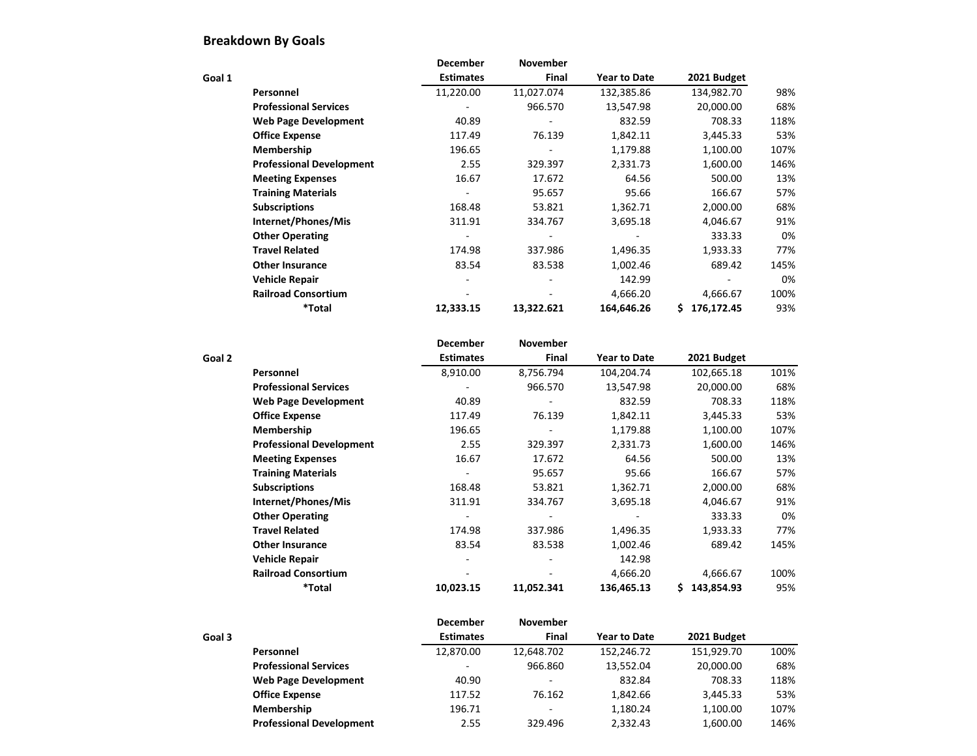## **Breakdown By Goals**

|        |                                 | <b>December</b>  | <b>November</b> |                     |                  |      |
|--------|---------------------------------|------------------|-----------------|---------------------|------------------|------|
| Goal 1 |                                 | <b>Estimates</b> | <b>Final</b>    | <b>Year to Date</b> | 2021 Budget      |      |
|        | Personnel                       | 11,220.00        | 11,027.074      | 132,385.86          | 134,982.70       | 98%  |
|        | <b>Professional Services</b>    |                  | 966.570         | 13,547.98           | 20,000.00        | 68%  |
|        | <b>Web Page Development</b>     | 40.89            |                 | 832.59              | 708.33           | 118% |
|        | <b>Office Expense</b>           | 117.49           | 76.139          | 1,842.11            | 3,445.33         | 53%  |
|        | Membership                      | 196.65           |                 | 1,179.88            | 1,100.00         | 107% |
|        | <b>Professional Development</b> | 2.55             | 329.397         | 2,331.73            | 1,600.00         | 146% |
|        | <b>Meeting Expenses</b>         | 16.67            | 17.672          | 64.56               | 500.00           | 13%  |
|        | <b>Training Materials</b>       |                  | 95.657          | 95.66               | 166.67           | 57%  |
|        | <b>Subscriptions</b>            | 168.48           | 53.821          | 1,362.71            | 2,000.00         | 68%  |
|        | Internet/Phones/Mis             | 311.91           | 334.767         | 3,695.18            | 4,046.67         | 91%  |
|        | <b>Other Operating</b>          |                  |                 |                     | 333.33           | 0%   |
|        | <b>Travel Related</b>           | 174.98           | 337.986         | 1,496.35            | 1,933.33         | 77%  |
|        | <b>Other Insurance</b>          | 83.54            | 83.538          | 1,002.46            | 689.42           | 145% |
|        | <b>Vehicle Repair</b>           |                  |                 | 142.99              |                  | 0%   |
|        | <b>Railroad Consortium</b>      |                  |                 | 4,666.20            | 4,666.67         | 100% |
|        | *Total                          | 12,333.15        | 13,322.621      | 164,646.26          | 176,172.45<br>S. | 93%  |

|        |                                 | <b>December</b>  | <b>November</b> |                     |                 |      |
|--------|---------------------------------|------------------|-----------------|---------------------|-----------------|------|
| Goal 2 |                                 | <b>Estimates</b> | <b>Final</b>    | <b>Year to Date</b> | 2021 Budget     |      |
|        | Personnel                       | 8,910.00         | 8,756.794       | 104,204.74          | 102,665.18      | 101% |
|        | <b>Professional Services</b>    |                  | 966.570         | 13,547.98           | 20,000.00       | 68%  |
|        | <b>Web Page Development</b>     | 40.89            |                 | 832.59              | 708.33          | 118% |
|        | <b>Office Expense</b>           | 117.49           | 76.139          | 1,842.11            | 3,445.33        | 53%  |
|        | Membership                      | 196.65           |                 | 1,179.88            | 1,100.00        | 107% |
|        | <b>Professional Development</b> | 2.55             | 329.397         | 2,331.73            | 1,600.00        | 146% |
|        | <b>Meeting Expenses</b>         | 16.67            | 17.672          | 64.56               | 500.00          | 13%  |
|        | <b>Training Materials</b>       |                  | 95.657          | 95.66               | 166.67          | 57%  |
|        | <b>Subscriptions</b>            | 168.48           | 53.821          | 1,362.71            | 2,000.00        | 68%  |
|        | Internet/Phones/Mis             | 311.91           | 334.767         | 3,695.18            | 4,046.67        | 91%  |
|        | <b>Other Operating</b>          |                  |                 |                     | 333.33          | 0%   |
|        | <b>Travel Related</b>           | 174.98           | 337.986         | 1,496.35            | 1,933.33        | 77%  |
|        | <b>Other Insurance</b>          | 83.54            | 83.538          | 1,002.46            | 689.42          | 145% |
|        | <b>Vehicle Repair</b>           |                  |                 | 142.98              |                 |      |
|        | <b>Railroad Consortium</b>      |                  |                 | 4,666.20            | 4,666.67        | 100% |
|        | <i><b>*Total</b></i>            | 10,023.15        | 11,052.341      | 136,465.13          | 143,854.93<br>S | 95%  |

|        |                                 | <b>December</b>          | <b>November</b>          |                     |             |      |
|--------|---------------------------------|--------------------------|--------------------------|---------------------|-------------|------|
| Goal 3 |                                 | <b>Estimates</b>         | <b>Final</b>             | <b>Year to Date</b> | 2021 Budget |      |
|        | <b>Personnel</b>                | 12,870.00                | 12,648.702               | 152,246.72          | 151,929.70  | 100% |
|        | <b>Professional Services</b>    | $\overline{\phantom{0}}$ | 966.860                  | 13,552.04           | 20,000.00   | 68%  |
|        | <b>Web Page Development</b>     | 40.90                    |                          | 832.84              | 708.33      | 118% |
|        | <b>Office Expense</b>           | 117.52                   | 76.162                   | 1,842.66            | 3,445.33    | 53%  |
|        | Membership                      | 196.71                   | $\overline{\phantom{0}}$ | 1,180.24            | 1,100.00    | 107% |
|        | <b>Professional Development</b> | 2.55                     | 329.496                  | 2,332.43            | 1,600.00    | 146% |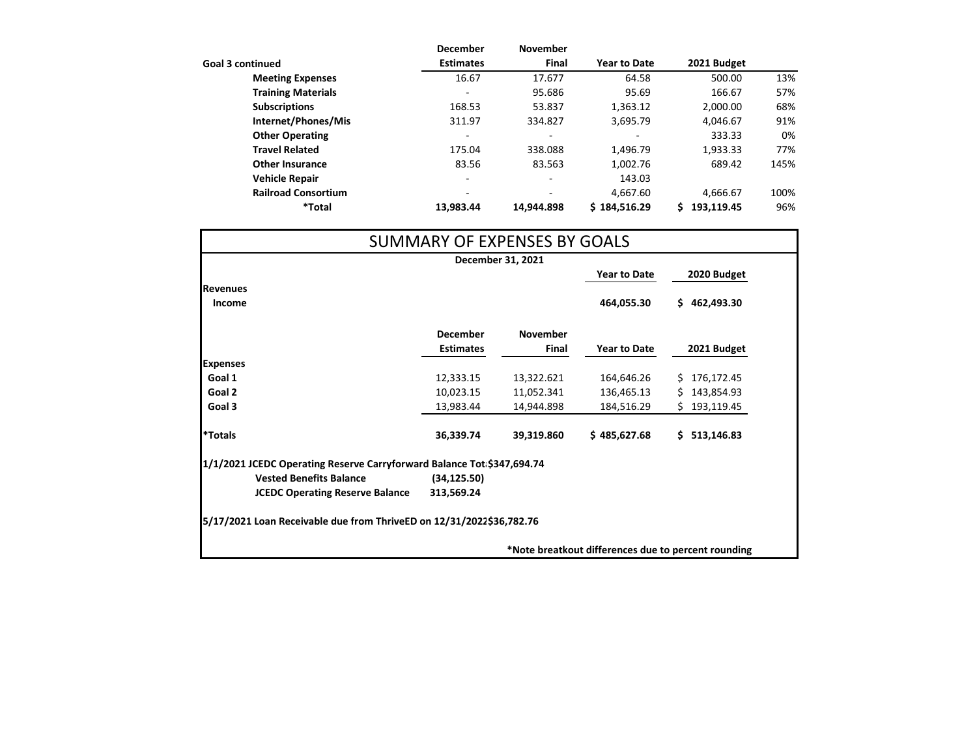|                            | <b>December</b>          | <b>November</b>          |                     |             |      |
|----------------------------|--------------------------|--------------------------|---------------------|-------------|------|
| <b>Goal 3 continued</b>    | <b>Estimates</b>         | <b>Final</b>             | <b>Year to Date</b> | 2021 Budget |      |
| <b>Meeting Expenses</b>    | 16.67                    | 17.677                   | 64.58               | 500.00      | 13%  |
| <b>Training Materials</b>  | $\overline{\phantom{a}}$ | 95.686                   | 95.69               | 166.67      | 57%  |
| <b>Subscriptions</b>       | 168.53                   | 53.837                   | 1,363.12            | 2,000.00    | 68%  |
| Internet/Phones/Mis        | 311.97                   | 334.827                  | 3,695.79            | 4,046.67    | 91%  |
| <b>Other Operating</b>     | $\overline{\phantom{a}}$ |                          |                     | 333.33      | 0%   |
| <b>Travel Related</b>      | 175.04                   | 338.088                  | 1,496.79            | 1,933.33    | 77%  |
| <b>Other Insurance</b>     | 83.56                    | 83.563                   | 1,002.76            | 689.42      | 145% |
| <b>Vehicle Repair</b>      | $\overline{\phantom{0}}$ | $\overline{\phantom{a}}$ | 143.03              |             |      |
| <b>Railroad Consortium</b> | $\overline{\phantom{0}}$ | $\overline{\phantom{0}}$ | 4,667.60            | 4,666.67    | 100% |
| *Total                     | 13,983.44                | 14.944.898               | \$184,516.29        | 193,119.45  | 96%  |

|                       |                                                                        |                  | SUMMARY OF EXPENSES BY GOALS |                     |                  |
|-----------------------|------------------------------------------------------------------------|------------------|------------------------------|---------------------|------------------|
|                       |                                                                        |                  | December 31, 2021            |                     |                  |
|                       |                                                                        |                  |                              | <b>Year to Date</b> | 2020 Budget      |
| <b>Revenues</b>       |                                                                        |                  |                              |                     |                  |
| <b>Income</b>         |                                                                        |                  |                              | 464,055.30          | \$462,493.30     |
|                       |                                                                        | <b>December</b>  | <b>November</b>              |                     |                  |
|                       |                                                                        | <b>Estimates</b> | <b>Final</b>                 | <b>Year to Date</b> | 2021 Budget      |
| <b>Expenses</b>       |                                                                        |                  |                              |                     |                  |
| Goal 1                |                                                                        | 12,333.15        | 13,322.621                   | 164,646.26          | 176,172.45<br>S. |
| Goal 2                |                                                                        | 10,023.15        | 11,052.341                   | 136,465.13          | 143,854.93<br>S. |
| Goal 3                |                                                                        | 13,983.44        | 14,944.898                   | 184,516.29          | 193,119.45<br>S. |
| <i><b>*Totals</b></i> |                                                                        | 36,339.74        | 39,319.860                   | \$485,627.68        | 513,146.83<br>S. |
|                       | 1/1/2021 JCEDC Operating Reserve Carryforward Balance Tot \$347,694.74 |                  |                              |                     |                  |
|                       | <b>Vested Benefits Balance</b>                                         | (34, 125.50)     |                              |                     |                  |
|                       | <b>JCEDC Operating Reserve Balance</b>                                 | 313,569.24       |                              |                     |                  |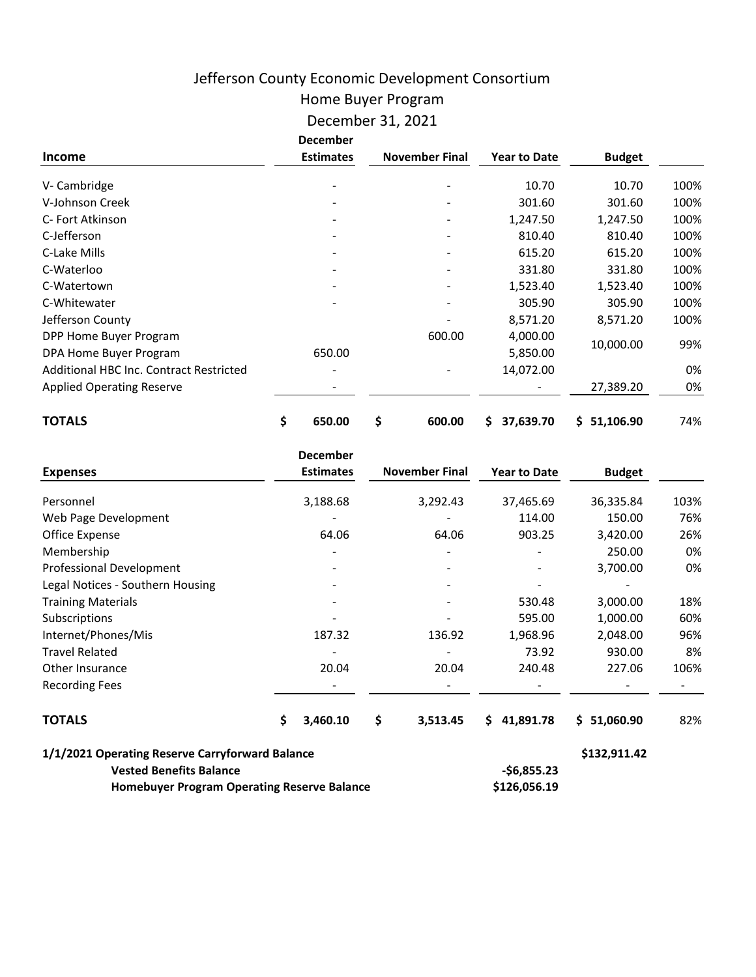# Jefferson County Economic Development Consortium

# Home Buyer Program

## December 31, 2021

|                                         | <b>December</b>  |                       |                     |               |      |
|-----------------------------------------|------------------|-----------------------|---------------------|---------------|------|
| <b>Income</b>                           | <b>Estimates</b> | <b>November Final</b> | <b>Year to Date</b> | <b>Budget</b> |      |
| V- Cambridge                            |                  |                       | 10.70               | 10.70         | 100% |
| V-Johnson Creek                         |                  |                       | 301.60              | 301.60        | 100% |
| C- Fort Atkinson                        |                  |                       | 1,247.50            | 1,247.50      | 100% |
| C-Jefferson                             |                  |                       | 810.40              | 810.40        | 100% |
| C-Lake Mills                            |                  |                       | 615.20              | 615.20        | 100% |
| C-Waterloo                              |                  |                       | 331.80              | 331.80        | 100% |
| C-Watertown                             |                  |                       | 1,523.40            | 1,523.40      | 100% |
| C-Whitewater                            |                  |                       | 305.90              | 305.90        | 100% |
| Jefferson County                        |                  |                       | 8,571.20            | 8,571.20      | 100% |
| DPP Home Buyer Program                  |                  | 600.00                | 4,000.00            |               |      |
| DPA Home Buyer Program                  | 650.00           |                       | 5,850.00            | 10,000.00     | 99%  |
| Additional HBC Inc. Contract Restricted |                  |                       | 14,072.00           |               | 0%   |
| <b>Applied Operating Reserve</b>        |                  |                       |                     | 27,389.20     | 0%   |
| <b>TOTALS</b>                           | \$<br>650.00     | \$<br>600.00          | \$<br>37,639.70     | \$1,106.90    | 74%  |

|                                                    | <b>December</b>  |                       |                     |               |      |
|----------------------------------------------------|------------------|-----------------------|---------------------|---------------|------|
| <b>Expenses</b>                                    | <b>Estimates</b> | <b>November Final</b> | <b>Year to Date</b> | <b>Budget</b> |      |
| Personnel                                          | 3,188.68         | 3,292.43              | 37,465.69           | 36,335.84     | 103% |
| Web Page Development                               |                  |                       | 114.00              | 150.00        | 76%  |
| Office Expense                                     | 64.06            | 64.06                 | 903.25              | 3,420.00      | 26%  |
| Membership                                         |                  |                       |                     | 250.00        | 0%   |
| Professional Development                           |                  |                       |                     | 3,700.00      | 0%   |
| Legal Notices - Southern Housing                   |                  |                       |                     |               |      |
| <b>Training Materials</b>                          |                  |                       | 530.48              | 3,000.00      | 18%  |
| Subscriptions                                      |                  |                       | 595.00              | 1,000.00      | 60%  |
| Internet/Phones/Mis                                | 187.32           | 136.92                | 1,968.96            | 2,048.00      | 96%  |
| <b>Travel Related</b>                              |                  |                       | 73.92               | 930.00        | 8%   |
| Other Insurance                                    | 20.04            | 20.04                 | 240.48              | 227.06        | 106% |
| <b>Recording Fees</b>                              |                  |                       |                     |               |      |
| <b>TOTALS</b>                                      | \$<br>3,460.10   | \$<br>3,513.45        | \$41,891.78         | \$1,060.90    | 82%  |
| 1/1/2021 Operating Reserve Carryforward Balance    |                  |                       |                     | \$132,911.42  |      |
| <b>Vested Benefits Balance</b>                     |                  |                       | $-$6,855.23$        |               |      |
| <b>Homebuyer Program Operating Reserve Balance</b> |                  |                       | \$126,056.19        |               |      |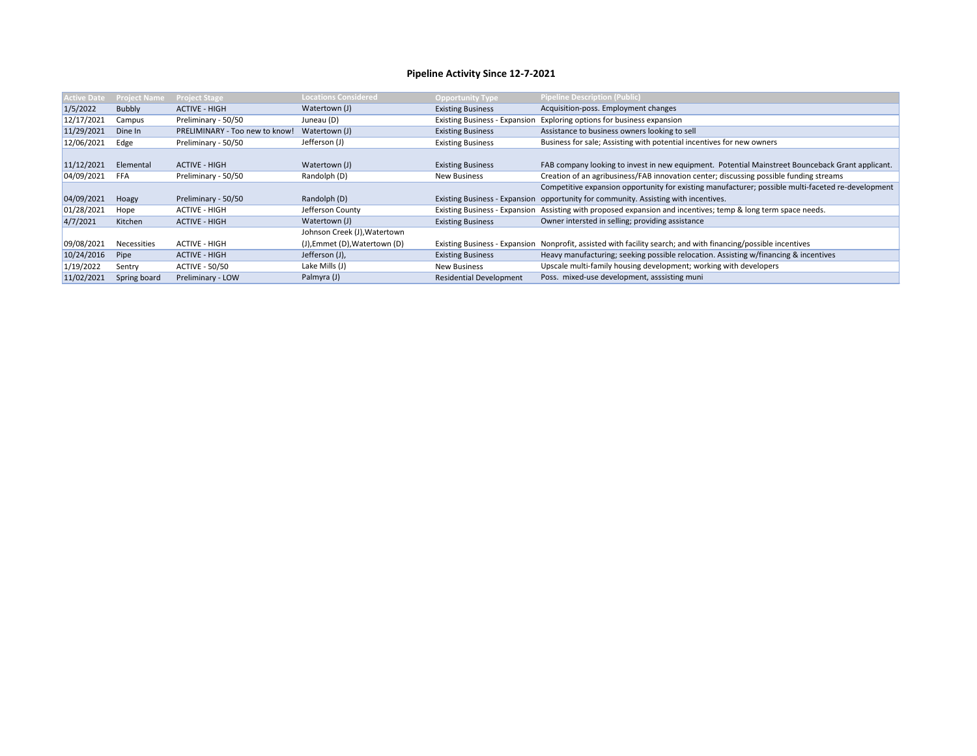| <b>Active Date</b> | <b>Project Name</b> | <b>Project Stage</b>           | <b>Locations Considered</b>          | <b>Opportunity Type</b>              | <b>Pipeline Description (Public)</b>                                                               |
|--------------------|---------------------|--------------------------------|--------------------------------------|--------------------------------------|----------------------------------------------------------------------------------------------------|
| 1/5/2022           | Bubbly              | <b>ACTIVE - HIGH</b>           | Watertown (J)                        | <b>Existing Business</b>             | Acquisition-poss. Employment changes                                                               |
| 12/17/2021         | Campus              | Preliminary - 50/50            | Juneau (D)                           | <b>Existing Business - Expansion</b> | Exploring options for business expansion                                                           |
| 11/29/2021         | Dine In             | PRELIMINARY - Too new to know! | Watertown (J)                        | <b>Existing Business</b>             | Assistance to business owners looking to sell                                                      |
| 12/06/2021         | Edge                | Preliminary - 50/50            | Jefferson (J)                        | <b>Existing Business</b>             | Business for sale; Assisting with potential incentives for new owners                              |
|                    |                     |                                |                                      |                                      |                                                                                                    |
| 11/12/2021         | Elemental           | <b>ACTIVE - HIGH</b>           | Watertown (J)                        | <b>Existing Business</b>             | FAB company looking to invest in new equipment. Potential Mainstreet Bounceback Grant applicant.   |
| 04/09/2021         | FFA                 | Preliminary - 50/50            | Randolph (D)                         | <b>New Business</b>                  | Creation of an agribusiness/FAB innovation center; discussing possible funding streams             |
|                    |                     |                                |                                      |                                      | Competitive expansion opportunity for existing manufacturer; possible multi-faceted re-development |
| 04/09/2021         | Hoagy               | Preliminary - 50/50            | Randolph (D)                         |                                      | Existing Business - Expansion opportunity for community. Assisting with incentives.                |
| 01/28/2021         | Hope                | <b>ACTIVE - HIGH</b>           | Jefferson County                     | <b>Existing Business - Expansion</b> | Assisting with proposed expansion and incentives; temp & long term space needs.                    |
| 4/7/2021           | Kitchen             | <b>ACTIVE - HIGH</b>           | Watertown (J)                        | <b>Existing Business</b>             | Owner intersted in selling; providing assistance                                                   |
|                    |                     |                                | Johnson Creek (J), Watertown         |                                      |                                                                                                    |
| 09/08/2021         | Necessities         | <b>ACTIVE - HIGH</b>           | $J)$ , Emmet $(D)$ , Watertown $(D)$ | <b>Existing Business - Expansion</b> | Nonprofit, assisted with facility search; and with financing/possible incentives                   |
| 10/24/2016         | Pipe                | <b>ACTIVE - HIGH</b>           | Jefferson (J),                       | <b>Existing Business</b>             | Heavy manufacturing; seeking possible relocation. Assisting w/financing & incentives               |
| 1/19/2022          | Sentry              | <b>ACTIVE - 50/50</b>          | Lake Mills (J)                       | <b>New Business</b>                  | Upscale multi-family housing development; working with developers                                  |
| 11/02/2021         | Spring board        | Preliminary - LOW              | Palmyra (J)                          | <b>Residential Development</b>       | Poss. mixed-use development, asssisting muni                                                       |

# **Pipeline Activity Since 12-7-2021**